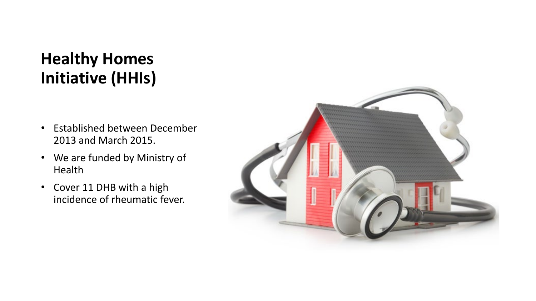#### **Healthy Homes Initiative (HHIs)**

- Established between December 2013 and March 2015.
- We are funded by Ministry of Health
- Cover 11 DHB with a high incidence of rheumatic fever.

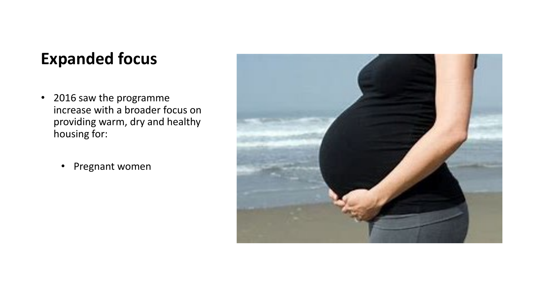#### **Expanded focus**

- 2016 saw the programme increase with a broader focus on providing warm, dry and healthy housing for:
	- Pregnant women

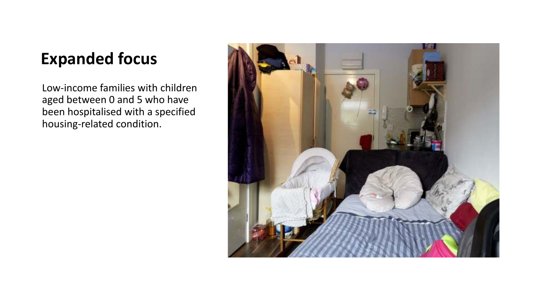#### **Expanded focus**

Low-income families with children aged between 0 and 5 who have been hospitalised with a specified housing-related condition.

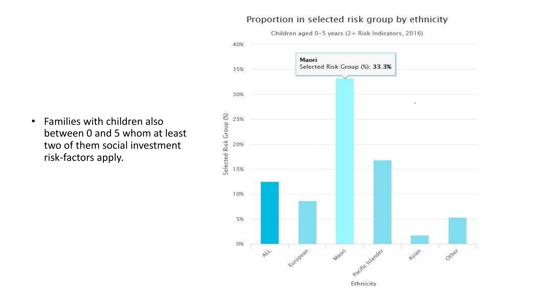#### Proportion in selected risk group by ethnicity



• Families with children also between 0 and 5 whom at least two of them social investment risk-factors apply.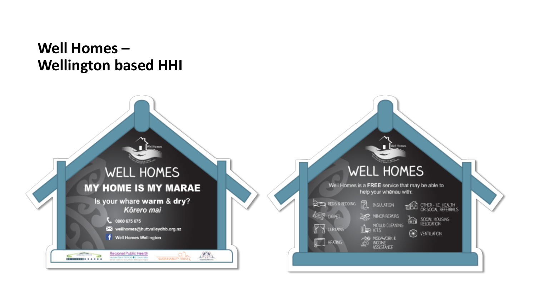#### Well Homes-**Wellington based HHI**

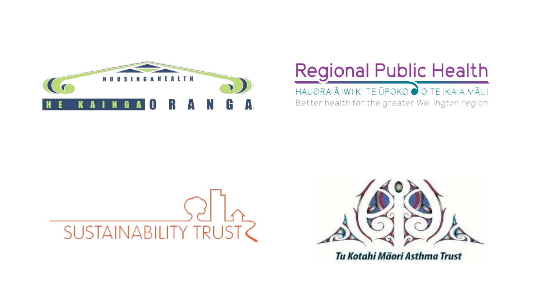

#### Regional Public Health

HAUORA Ā IWI KI TE ŪPOKO O TE IKA A MĀUI

Better health for the greater Wellington region.





Tu Kotahi Māori Asthma Trust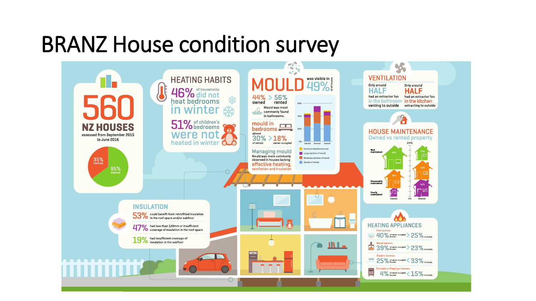#### BRANZ House condition survey

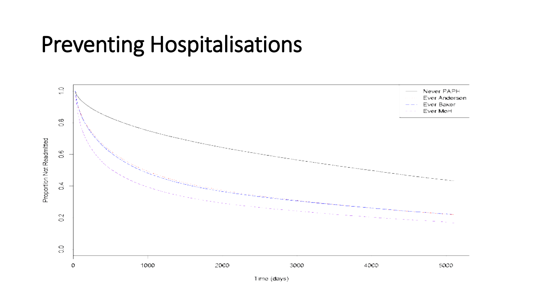#### Preventing Hospitalisations



Time (days)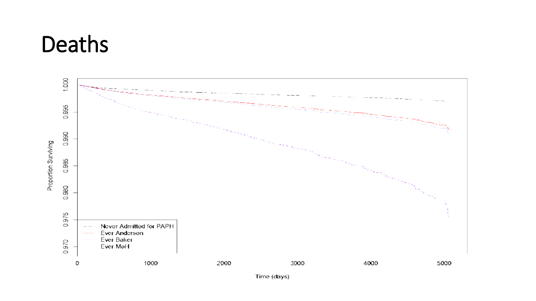#### Deaths

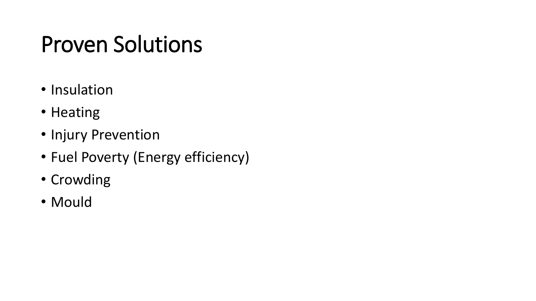# Proven Solutions

- Insulation
- Heating
- Injury Prevention
- Fuel Poverty (Energy efficiency)
- Crowding
- Mould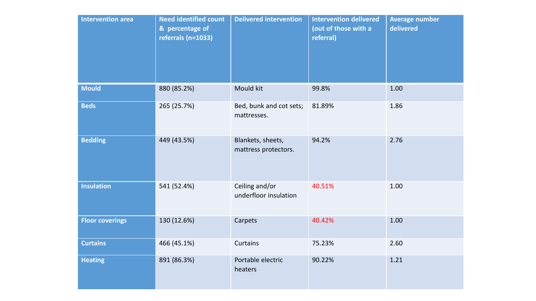| <b>Intervention area</b> | <b>Need identified count</b><br>& percentage of<br>referrals (n=1033) | <b>Delivered intervention</b>             | <b>Intervention delivered</b><br>(out of those with a<br>referral) | <b>Average number</b><br>delivered |
|--------------------------|-----------------------------------------------------------------------|-------------------------------------------|--------------------------------------------------------------------|------------------------------------|
| <b>Mould</b>             | 880 (85.2%)                                                           | Mould kit                                 | 99.8%                                                              | 1.00                               |
| <b>Beds</b>              | 265 (25.7%)                                                           | Bed, bunk and cot sets;<br>mattresses.    | 81.89%                                                             | 1.86                               |
| <b>Bedding</b>           | 449 (43.5%)                                                           | Blankets, sheets,<br>mattress protectors. | 94.2%                                                              | 2.76                               |
| <b>Insulation</b>        | 541 (52.4%)                                                           | Ceiling and/or<br>underfloor insulation   | 40.51%                                                             | 1.00                               |
| <b>Floor coverings</b>   | 130 (12.6%)                                                           | Carpets                                   | 40.42%                                                             | 1.00                               |
| <b>Curtains</b>          | 466 (45.1%)                                                           | <b>Curtains</b>                           | 75.23%                                                             | 2.60                               |
| <b>Heating</b>           | 891 (86.3%)                                                           | Portable electric<br>heaters              | 90.22%                                                             | 1.21                               |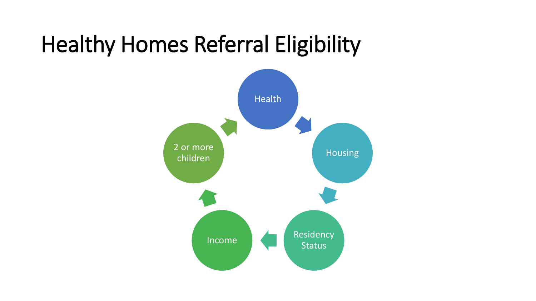## Healthy Homes Referral Eligibility

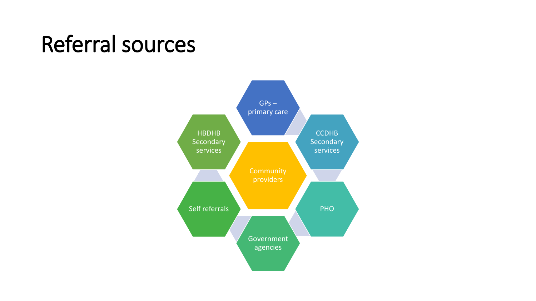## Referral sources

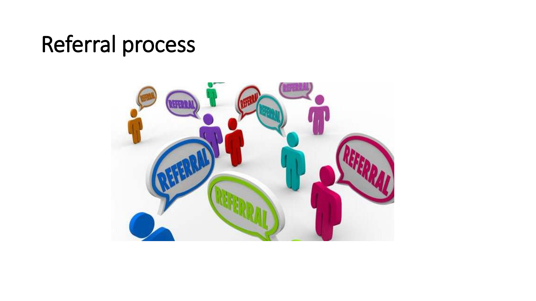## Referral process

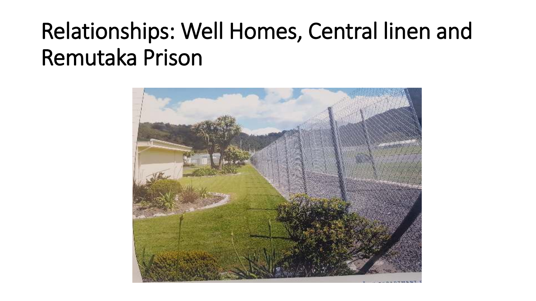# Relationships: Well Homes, Central linen and Remutaka Prison

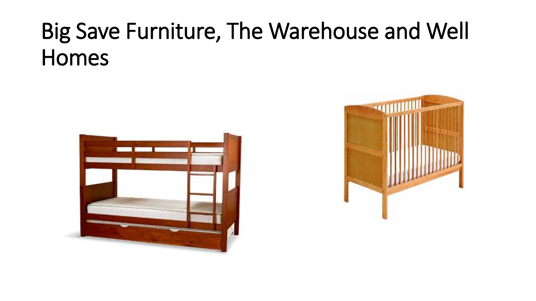# Big Save Furniture, The Warehouse and Well Homes



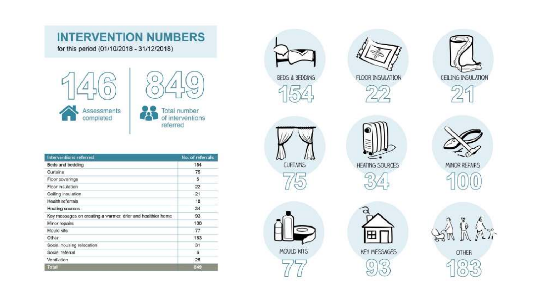#### **INTERVENTION NUMBERS**

for this period (01/10/2018 - 31/12/2018)





| Interventions referred                                      | No. of referrals |
|-------------------------------------------------------------|------------------|
| Beds and bedding                                            | 154              |
| <b>Curtains</b>                                             | 75               |
| Floor coverings                                             | 5                |
| Floor insulation                                            | 22               |
| Ceiling insulation                                          | 21               |
| Health referrals                                            | 18               |
| Heating sources                                             | 34               |
| Key messages on creating a warmer, drier and healthier home | 93               |
| Minor repairs                                               | 100              |
| Mould kits                                                  | 77               |
| Other                                                       | 183              |
| Social housing relocation                                   | 31               |
| Social referral                                             | б                |
| Ventilation                                                 | 25               |
| Total                                                       | 849              |



**CURTAINS** 

MOULD KITS



FLOOR INSULATION











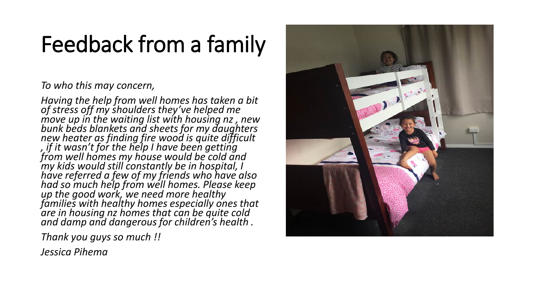# Feedback from a family

#### *To who this may concern,*

*Having the help from well homes has taken a bit of stress off my shoulders they've helped me move up in the waiting list with housing nz , new bunk beds blankets and sheets for my daughters new heater as finding fire wood is quite difficult , if it wasn't for the help I have been getting from well homes my house would be cold and my kids would still constantly be in hospital, I have referred a few of my friends who have also had so much help from well homes. Please keep up the good work, we need more healthy families with healthy homes especially ones that are in housing nz homes that can be quite cold and damp and dangerous for children's health .*

*Thank you guys so much !!*

*Jessica Pihema*